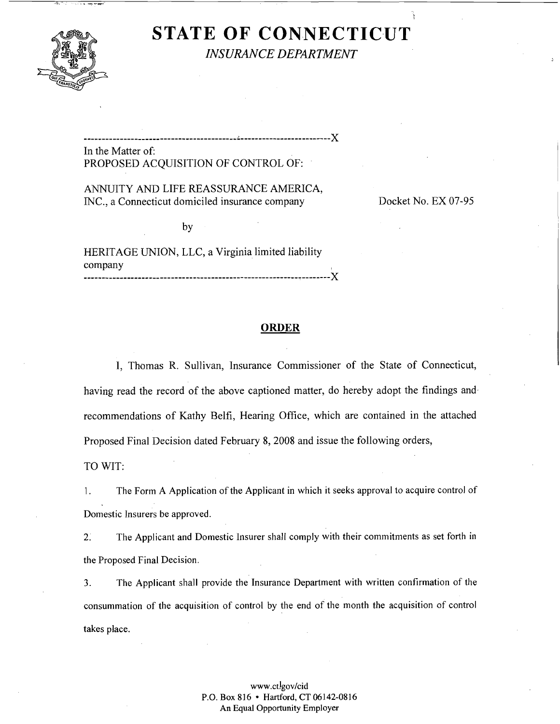

# **STATE OF CONNECTICUT**  *INSURANCE DEPARTMENT*

**---------------------------,---------------i-------------------------** X

In the Matter of: PROPOSED ACQUISITION OF CONTROL OF:

ANNUITY AND LIFE REASSURANCE AMERICA, INC., a Connecticut domiciled insurance company Docket No. EX 07-95

by

HERITAGE UNION, LLC, a Virginia limited liability company .................................................................... X

## **ORDER**

I, Thomas R. Sullivan, Insurance Commissioner of the State of Connecticut, having read the record of the above captioned matter, do hereby adopt the findings and. recommendations of Kathy Belfi, Hearing Office, which are contained in the attached Proposed Final Decision dated February 8,2008 and issue the following orders, TO WIT:

1. The Form A Application of the Applicant in which it seeks approval to acquire control of Domestic Insurers be approved.

2. The Applicant and Domestic Insurer shall comply with their commitments as set forth in the Proposed Final Decision.

**3.** The Applicant shall provide the Insurance Department with written confirmation of the consummation of the acquisition of control by the end of the month the acquisition of control takes place.

## www.ct!gov/cid P.O. Box 816 • Hartford, CT 06142-0816 An Equal Opportunity Employer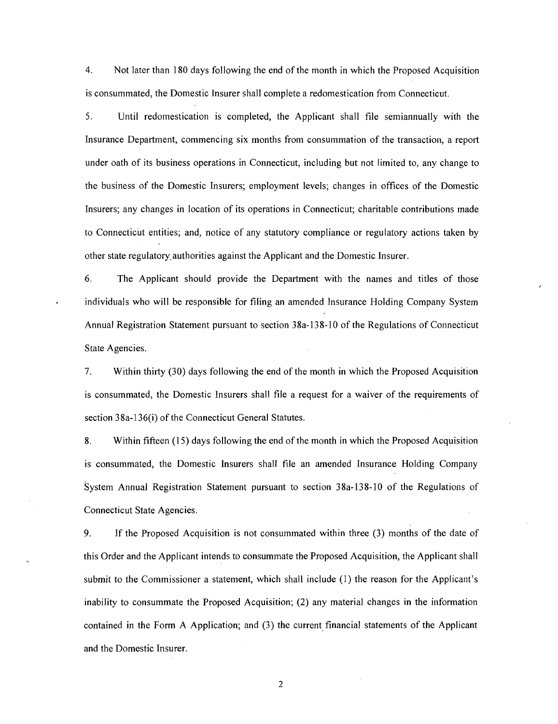4. Not later than 180 days following the end of the month in which the Proposed Acquisition is consummated, the Domestic Insurer shall complete a redomestication from Connecticut.

5. Until redomestication is completed, the Applicant shall file semiannually with the Insurance Department, commencing six months from consummation of the transaction, a report under oath of its business operations in Connecticut, including but not limited to, any change to the business of the Domestic Insurers; employment levels; changes in offices of the Domestic Insurers; any changes in location of its operations in Connecticut; charitable contributions made to Connecticut entities; and, notice of any statutory compliance or regulatory actions taken by other state regulatory~authorities against the Applicant and the Domestic Insurer.

6. The Applicant should provide the Department with the names and titles of those individuals who will be responsible for filing an amended Insurance Holding Company System Annual Registration Statement pursuant to section 38a-138-10 of the Regulations of Connecticut State Agencies.

7. Within thirty (30) days following the end of the month in which the Proposed Acquisition is consummated, the Domestic Insurers shall file a request for a waiver of the requirements of section 38a-136(i) of the Connecticut General Statutes.

8. Within fifteen (15) days following the end of the month in which the Proposed Acquisition is consummated, the Domestic Insurers shall file an amended Insurance Holding Company system Annual Registration Statement pursuant to section 38a-138-10 of the Regulations of Connecticut State Agencies.

9. If the Proposed Acquisition is not consummated within three (3) months of the date of this Order and the Applicant intends to consummate the Proposed Acquisition, the Applicant shall submit to the Commissioner a statement, which shall include (1) the reason for the Applicant's inability to consummate the Proposed Acquisition; (2) any material changes in the information contained in the Form A Application; and (3) the current financial statements of the Applicant and the Domestic Insurer.

 $\overline{2}$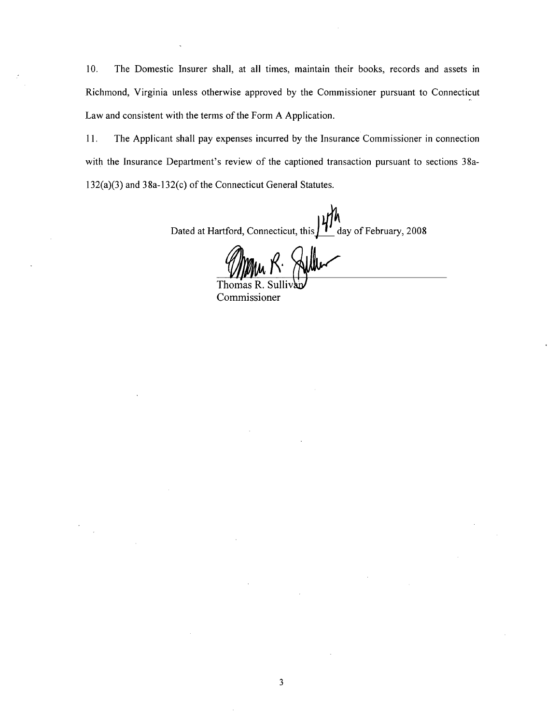10. The Domestic Insurer shall, at all times, maintain their books, records and assets in Richmond, Virginia unless otherwise approved by the Commissioner pursuant to Connecticut Law and consistent with the terms of the Form A Application.

11. The Applicant shall pay expenses incurred by the Insurance Commissioner in connection with the Insurance Department's review of the captioned transaction pursuant to sections 38a-132(a)(3) and 38a-132(c) of the Connecticut General Statutes.

Dated at Hartford, Connecticut, this  $\frac{\mathcal{U}}{\mathcal{U}}$  day of February, 2008

Willem K. Aller

Thomas F Commissioner

 $\mathbf{3}$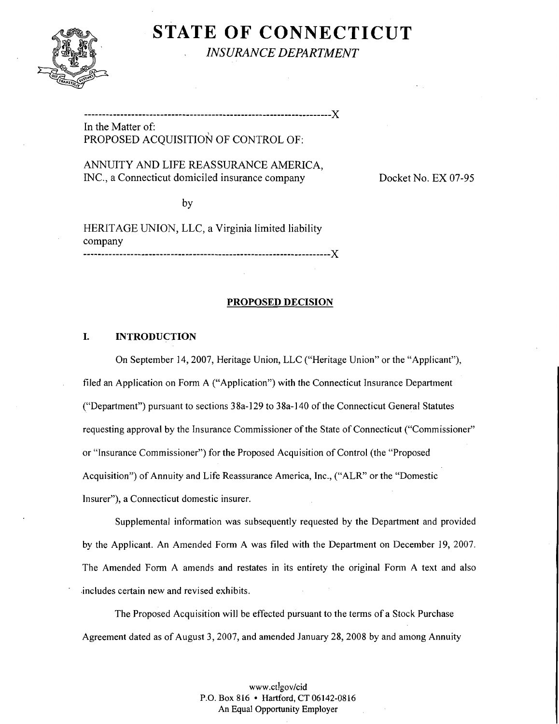

**STATE OF CONNECTICUT**  *INSURANCE DEPARTMENT* 

In the Matter of: PROPOSED ACQUISITION OF CONTROL OF:

.................................................................... X

## ANNUITY AND LIFE REASSURANCE AMERICA, INC., a Connecticut domiciled insurance company Docket No. EX 07-95

by

HERITAGE UNION, LLC, a Virginia limited liability company .................................................................... X

## **PROPOSED DECISION**

## **I. INTRODUCTION**

On September 14,2007, Heritage Union, LLC ("Heritage Union" or the "Applicant"), filed an Application on Form **A** ("Application") with the Connecticut Insurance Department ("Department") pursuant to sections 38a-129 to 38a-140 of the Connecticut General Statutes requesting approval by the Insurance Commissioner of the State of Connecticut ("Commissioner" or "Insurance Commissioner") for the Proposed Acquisition of Control (the "Proposed Acquisition") of Annuity and Life Reassurance America, Inc., ("ALR" or the "Domestic Insurer"), a Connecticut domestic insurer.

SuppIemental information was subsequently requested by the Department and provided by the Applicant. An Amended Form A was filed with the Department on December 19, 2007. The Amended Form A amends and restates in its entirety the original Form A text and also .includes certain new and revised exhibits.

The Proposed Acquisition wiIl be effected pursuant to the terms of a Stock Purchase Agreement dated as of August 3,2007, and amended January 28,2008 by and among Annuity

> www.ct!gov/cid P.O. Box 816 • Hartford, CT 06142-0816 **An** Equal Opportunity Employer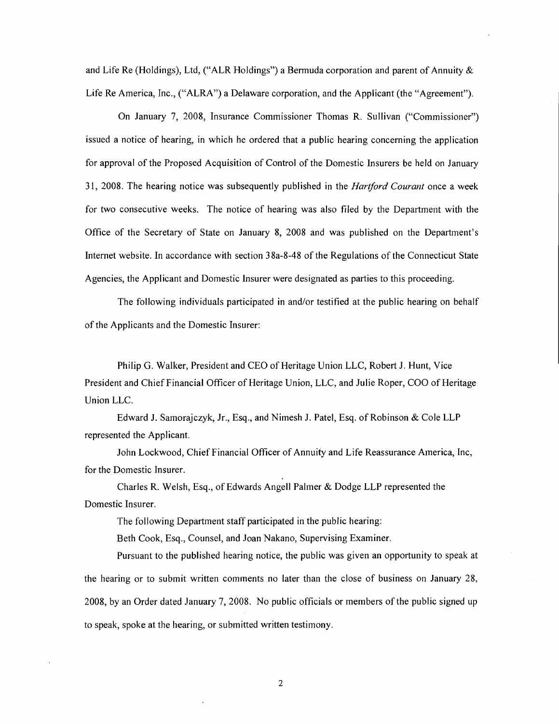and Life Re (Holdings), Ltd, ("ALR Holdings") a Bermuda corporation and parent of Annuity & Life Re America, Inc., ("ALRA") a Delaware corporation, and the Applicant (the "Agreement").

On January 7, 2008, Insurance Commissioner Thomas R. Sullivan ("Commissioner") issued a notice of hearing, in which he ordered that a public hearing concerning the application for approval of the Proposed Acquisition of Control of the Domestic Insurers be held on January 3 1, 2008. The hearing notice was subsequently published in the *Hartford Courarzt* once a week for two consecutive weeks. The notice of hearing was also filed by the Department with the Office of the Secretary of State on January 8, 2008 and was published on the Department's Internet website. In accordance with section 38a-8-48 of the Regulations of the Connecticut State Agencies, the Applicant and Domestic Insurer were designated as parties to this proceeding.

The following individuals participated in and/or testified at the public hearing on behalf of the Applicants and the Domestic Insurer:

Philip G. Walker, President and CEO of Heritage Union LLC, Robert J. Hunt, Vice President and Chief Financial Officer of Heritage Union, LLC, and Julie Roper, COO of Heritage Union LLC.

Edward J. Samorajczyk, Jr., Esq., and Nimesh J. Patel, Esq. of Robinson & Cole LLP represented the Applicant.

John Lockwood, Chief Financial Officer of Annuity and Life Reassurance America, Inc, for the Domestic Insurer.

Charles R. Welsh, Esq., of Edwards Angel1 Palmer & Dodge LLP represented the Domestic Insurer.

The following Department staff participated in the public hearing:

Beth Cook, Esq., Counsel, and Joan Nakano, Supervising Examiner

Pursuant to the published hearing notice, the public was given an opportunity to speak at the hearing or to submit written comments no later than the close of business on January 28, 2008, by an Order dated January 7, 2008. No public officials or members of the public signed up to speak, spoke at the hearing, or submitted written testimony.

 $\overline{2}$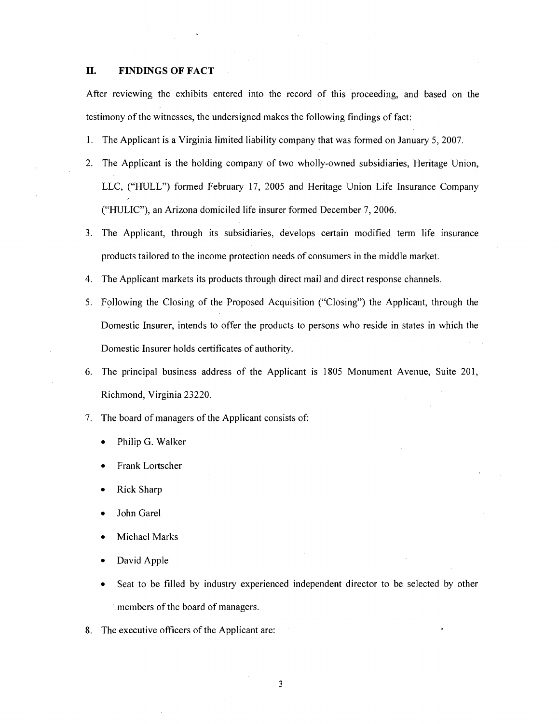## **11. FINDINGS OF FACT**

After reviewing the exhibits entered into the record of this proceeding, and based on the testimony of the witnesses, the undersigned makes the following findings of fact:

- 1. The Applicant is a Virginia limited liability company that was formed on January 5,2007.
- 2. The Applicant is the holding company of two wholly-owned subsidiaries, Heritage Union, LLC, ("HULL") formed February 17, 2005 and Heritage Union Life Insurance Company ("HULIC"), an Arizona domiciled life insurer formed December 7, 2006.
- 3. The Applicant, through its subsidiaries, develops certain modified term life insurance products tailored to the income protection needs of consumers in the middle market.
- 4. The Applicant markets its products through direct mail and direct response channels.
- 5. Following the Closing of the Proposed Acquisition ("Closing") the Applicant, through the Domestic Insurer, intends to offer the products to persons who reside in states in which the Domestic Insurer holds certificates of authority.
- 6. The principal business address of the Applicant is 1805 Monument Avenue, Suite 201, Richmond, Virginia 23220.
- 7. The board of managers of the Applicant consists of:
	- Philip G. Walker
	- Frank Lortscher
	- Rick Sharp
	- John Garel
	- Michael Marks
	- David Apple
	- Seat to be filled by industry experienced independent director to be selected by other members of the board of managers.
- 8. The executive officers of the Applicant are: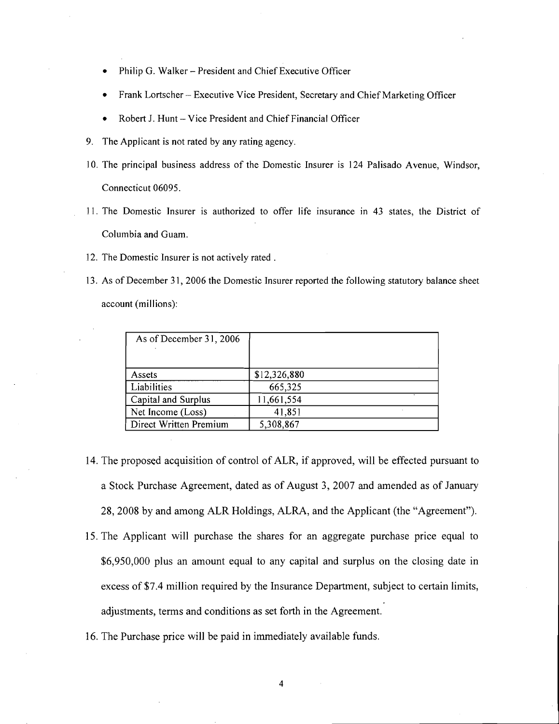- Philip G. Walker President and Chief Executive Officer
- Frank Lortscher Executive Vice President, Secretary and Chief Marketing Officer
- Robert J. Hunt Vice President and Chief Financial Officer
- 9. The Applicant is not rated by any rating agency.
- 10. The principal business address of the Domestic Insurer is 124 Palisado Avenue, Windsor, Connecticut 06095.
- 11. The Domestic Jnsurer is authorized to offer life insurance in 43 states, the District of Columbia and Guam.
- 12. The Domestic Insurer is not actively rated .
- 13. As of December 3 1, 2006 the Domestic Jnsurer reported the following statutory balance sheet account (millions):

| As of December 31, 2006 |              |
|-------------------------|--------------|
| Assets                  | \$12,326,880 |
| Liabilities             | 665,325      |
| Capital and Surplus     | 11,661,554   |
| Net Income (Loss)       | 41,851       |
| Direct Written Premium  | 5,308,867    |

- 14. The proposed acquisition of control of ALR, if approved, will be effected pursuant to a Stock Purchase Agreement, dated as of August 3, 2007 and amended as of January 28,2008 by and among ALR Holdings, ALRA, and the Applicant (the "Agreement").
- 15. The Applicant will purchase the shares for an aggregate purchase price equal to \$6,950,000 plus an amount equal to any capital and surplus on the closing date in excess of \$7.4 million required by the Insurance Department, subject to certain limits, adjustments, terms and conditions as set forth in the Agreement.
- 16. The Purchase price will be paid in immediately available funds.

 $\overline{\mathbf{4}}$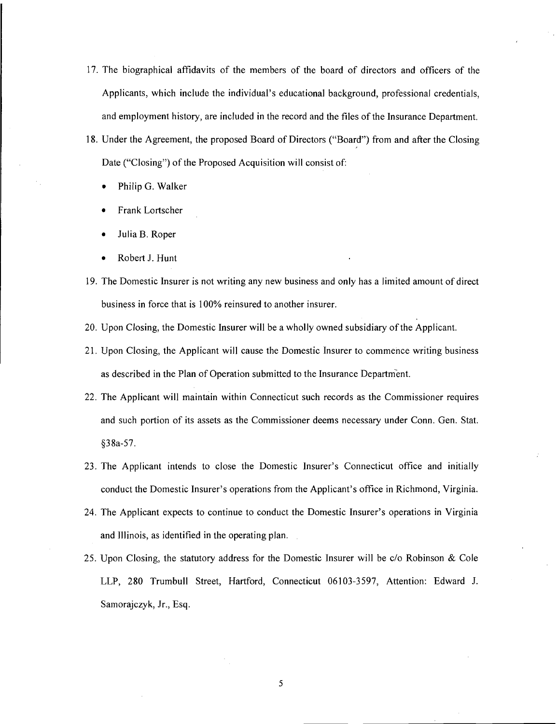- 17. The biographical affidavits of the members of the board of directors and officers of the Applicants, which include the individual's educational background, professional credentials, and employment history, are included in the record and the files of the Insurance Department.
- 18. Under the Agreement, the proposed Board of Directors ("Board") from and after the Closing Date ("Closing") of the Proposed Acquisition will consist of:
	- Philip G. Walker
	- Frank Lortscher
	- Julia B. Roper
	- Robert J. Hunt
- 19. The Domestic Insurer is not writing any new business and only has a limited amount of direct business in force that is 100% reinsured to another insurer.
- 20. Upon Closing, the Domestic Insurer will be a wholly owned subsidiary of the Applicant.
- 21. Upon Closing, the Applicant will cause the Domestic Insurer to commence writing business as described in the Plan of Operation submitted to the Insurance Department.
- 22. The Applicant will maintain within Connecticut such records as the Commissioner requires and such portion of its assets as the Commissioner deems necessary under Conn. Gen. Stat. 538a-57.
- 23. The Applicant intends to close the Domestic Insurer's Connecticut office and initially conduct the Domestic Insurer's operations from the Applicant's office in Richmond, Virginia.
- 24. The Applicant expects to continue to conduct the Domestic Insurer's operations in Virginia and Illinois, as identified in the operating plan.
- 25. Upon Closing, the statutory address for the Domestic Jnsurer will be c/o Robinson & Cole LLP, 280 Trumbull Street, Hartford, Connecticut 06103-3597, Attention: Edward J. Samorajczyk, Jr., Esq.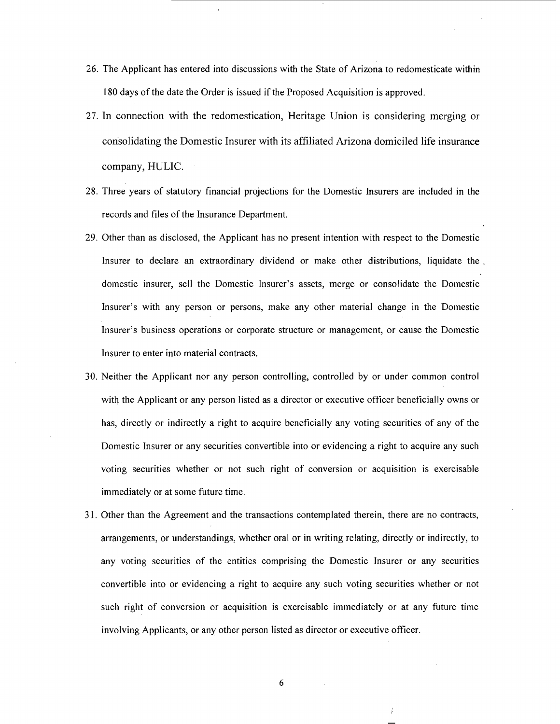- **26.** The Applicant has entered into discussions with the State of Arizona to redomesticate within **180** days of the date the Order is issued if the Proposed Acquisition is approved.
- **27.** In connection with the redomestication, Heritage Union is considering merging or consolidating the Domestic Insurer with its affiliated Arizona domiciled life insurance company, HULIC.
- **28.** Three years of statutory financial projections for the Domestic Insurers are included in the records and files of the Insurance Department.
- **29.** Other than as disclosed, the Applicant has no present intention with respect to the Domestic Insurer to declare an extraordinary dividend or make other distributions, liquidate the . domestic insurer, sell the Domestic Insurer's assets, merge or consolidate the Domestic Insurer's with any person or persons, make any other material change in the Domestic Insurer's business operations or corporate structure or management, or cause the Domestic Insurer to enter into material contracts.
- 30. Neither the Applicant nor any person controlling, controlled by or under common control with the Applicant or any person listed as a director or executive officer beneficially owns or has, directly or indirectly a right to acquire beneficially any voting securities of any of the Domestic Insurer or any securities convertible into or evidencing a right to acquire any such voting securities whether or not such right of conversion or acquisition is exercisable immediately or at some future time.
- **3** 1. Other than the Agreement and the transactions contemplated therein, there are no contracts, arrangements, or understandings, whether oral or in writing relating, directly or indirectly, to any voting securities of the entities comprising the Domestic Insurer or any securities convertible into or evidencing a right to acquire any such voting securities whether or not such right of conversion or acquisition is exercisable immediately or at any future time involving Applicants, or any other person listed as director or executive officer.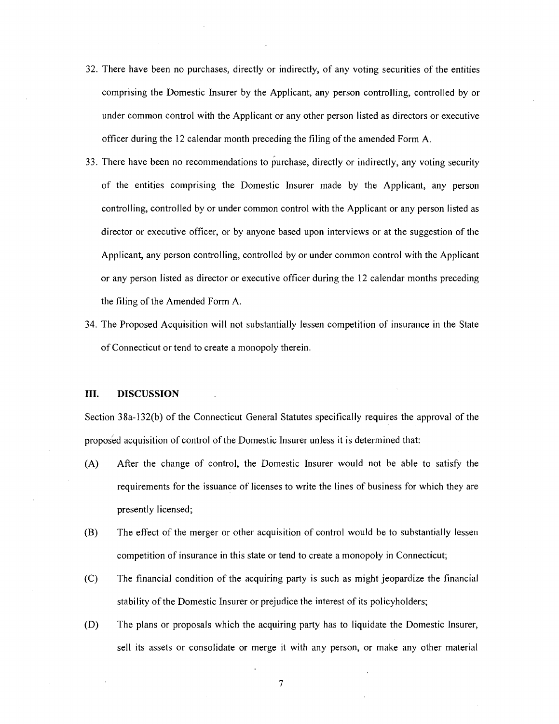- 32. There have been no purchases, directly or indirectly, of any voting securities of the entities comprising the Domestic Insurer by the Applicant, any person controlling, controlled by or under common control with the Applicant or any other person listed as directors or executive officer during the 12 calendar month preceding the filing of the amended Form A.
- 33. There have been no recommendations to purchase, directly or indirectly, any voting security of the entities comprising the Domestic Insurer made by the Applicant, any person controlling, controlled by or under common control with the Applicant or any person listed as director or executive officer, or by anyone based upon interviews or at the suggestion of the Applicant, any person controlling, controlled by or under common control with the Applicant or any person listed as director or executive officer during the 12 calendar months preceding the filing of the Amended Form A.
- 34. The Proposed Acquisition will not substantially lessen competition of insurance in the State of Connecticut or tend to create a monopoly therein.

#### **111. DISCUSSION**

Section 38a-132(b) of the Connecticut General Statutes specifically requires the approval of the proposed acquisition of control of the Domestic Insurer unless it is determined that:

- (A) After the change of control, the Domestic Insurer would not be able to satisfy the requirements for the issuance of licenses to write the lines of business for which they are presently licensed;
- (B) The effect of the merger or other acquisition of control would be to substantially lessen competition of insurance in this state or tend to create a monopoly in Connecticut;
- (C) The financial condition of the acquiring party is such as might jeopardize the financial stability of the Domestic Insurer or prejudice the interest of its policyholders;
- (D) The plans or proposals which the acquiring party has to liquidate the Domestic Insurer, sell its assets or consolidate or merge it with any person, or make any other material

 $\boldsymbol{7}$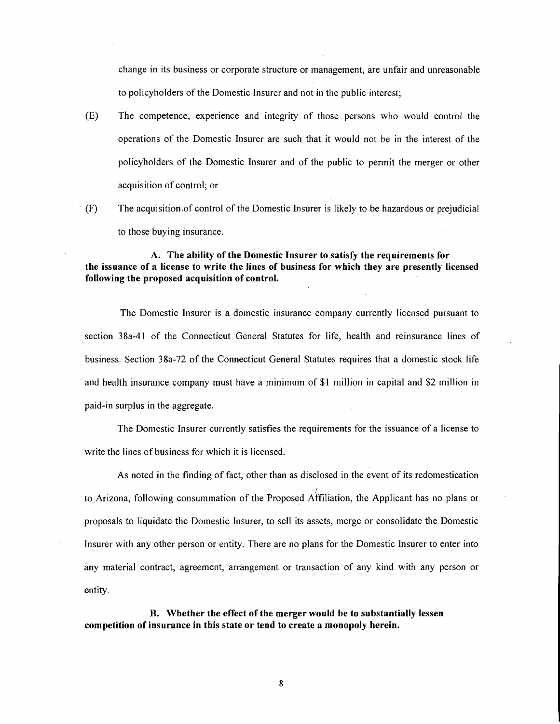change in its business or corporate structure or management, are unfair and unreasonable to policyholders of the Domestic Insurer and not in the public interest;

- (E) The competence, experience and integrity of those persons who would control the operations of the Domestic lnsurer are such that it would not be in the interest of the policyholders of the Domestic lnsurer and of the public to permit the merger or other acquisition of control; or
- $F(F)$  The acquisition of control of the Domestic Insurer is likely to be hazardous or prejudicial to those buying insurance.

**A. The ability of the Domestic Insurer to satisfy the requirements for the issuance of a license to write the lines of business for which they are presently licensed following the proposed acquisition of control.** 

The Domestic Insurer is a domestic insurance company currently licensed pursuant to section 38a-41 of the Connecticut General Statutes for life, health and reinsurance lines of business. Section 38a-72 of the Connecticut General Statutes requires that a domestic stock life and health insurance company must have a minimum of \$1 million in capital and \$2 million in paid-in surplus in the aggregate.

The Domestic lnsurer currently satisfies the requirements for the issuance of a license to write the lines of business for which it is licensed.

As noted in the finding of fact, other than as disclosed in the event of its redomestication to Arizona, following consummation of the Proposed Affiliation, the Applicant has no plans or proposals to liquidate the Domestic Insurer, to sell its assets, merge or consolidate the Domestic Insurer with any other person or entity. There are no plans for the Domestic lnsurer to enter into any material contract, agreement, arrangement or transaction of any kind with any person or entity.

**B. Whether the effect of the merger would be to substantially lessen competition of insurance in this state or tend to create a monopoly herein.**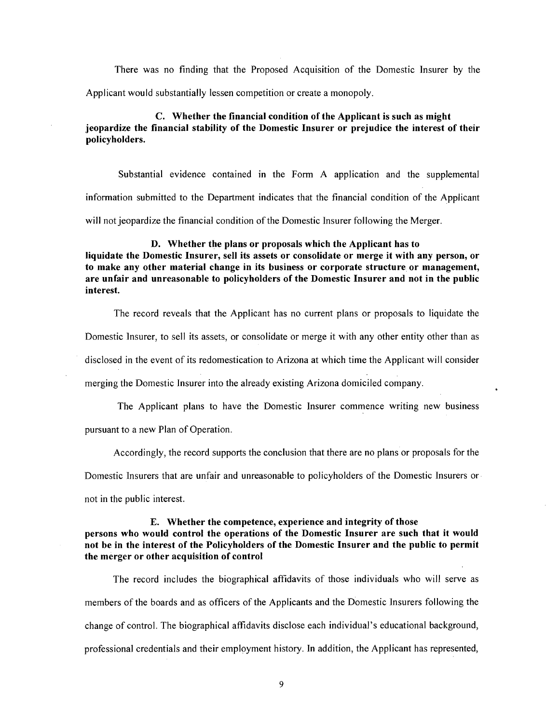There was no finding that the Proposed Acquisition of the Domestic Insurer by the Applicant would substantially lessen competition or create a monopoly.

## C. Whether the financial condition of the Applicant is such as might jeopardize the financial stability of the Domestic Insurer or prejudice the interest of their policyholders.

Substantial evidence contained in the Form A application and the supplemental information submitted to the Department indicates that the financial condition of the Applicant will not jeopardize the financial condition of the Domestic Insurer following the Merger.

#### D. Whether the plans or proposals which the Applicant has to

liquidate the Domestic Insurer, sell its assets or consolidate or merge it with any person, or to make any other material change in its business or corporate structure or management, are unfair and unreasonable to policyholders of the Domestic Insurer and not in the public interest.

The record reveals that the Applicant has no current plans or proposals to liquidate the Domestic Insurer, to sell its assets, or consolidate or merge it with any other entity other than as disclosed in the event of its redomestication to Arizona at which time the Applicant will consider merging the Domestic Insurer into the already existing Arizona domiciled company.

The Applicant plans to have the Domestic Insurer commence writing new business pursuant to a new Plan of Operation.

Accordingly, the record supports the conclusion that there are no plans or proposals for the

Domestic Insurers that are unfair and unreasonable to policyholders of the Domestic Insurers or

not in the public interest.

## E. Whether the competence, experience and integrity of those

## persons who would control the operations of the Domestic Insurer are such that it would not be in the interest of the Policyholders of the Domestic Insurer and the public to permit the merger or other acquisition of control

The record includes the biographical affidavits of those individuals who will serve as members of the boards and as officers of the Applicants and the Domestic Insurers following the change of control. The biographical affidavits disclose each individual's educational background, professional credentials and their employment history. In addition, the Applicant has represented,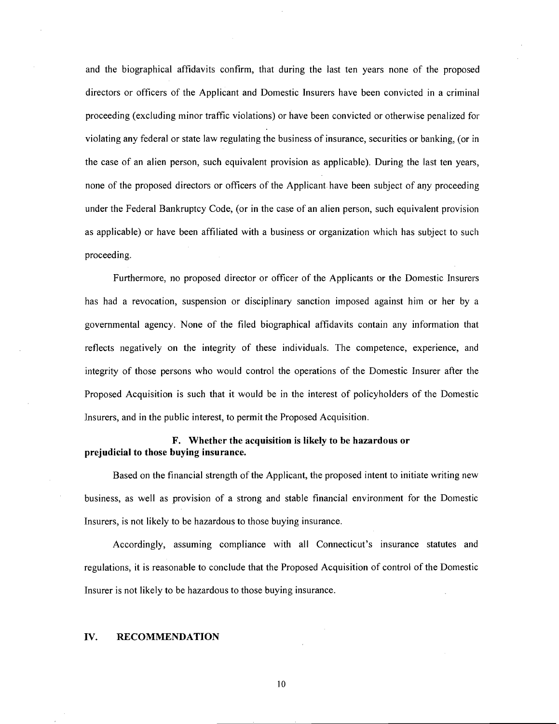and the biographical affidavits confirm, that during the last ten years none of the proposed directors or officers of the Applicant and Domestic Insurers have been convicted in a criminal proceeding (excluding minor traffic violations) or have been convicted or otherwise penalized for violating any federal or state law regulating the business of insurance, securities or banking, (or in the case of an alien person, such equivalent provision as applicable). During the last ten years, none of the proposed directors or officers of the Applicant have been subject of any proceeding under the Federal Bankruptcy Code, (or in the case of an alien person, such equivalent provision as applicable) or have been affiliated with a business or organization which has subject to such proceeding.

Furthermore, no proposed director or officer of the Applicants or the Domestic Insurers has had a revocation, suspension or disciplinary sanction imposed against him or her by a governmental agency. None of the filed biographical affidavits contain any information that reflects negatively on the integrity of these individuals. The competence, experience, and integrity of those persons who would control the operations of the Domestic Insurer after the Proposed Acquisition is such that it would be in the interest of policyholders of the Domestic Jnsurers, and in the public interest, to permit the Proposed Acquisition.

## **F. Whether the acquisition is likely to be hazardous or prejudicial to those buying insurance.**

Based on the financial strength of the Applicant, the proposed intent to initiate writing new business, as well as provision of a strong and stable financial environment for the Domestic Insurers, is not likely to be hazardous to those buying insurance.

Accordingly, assuming compliance with all Connecticut's insurance statutes and regulations, it is reasonable to conclude that the Proposed Acquisition of control of the Domestic Insurer is not likely to be hazardous to those buying insurance.

#### **IV. RECOMMENDATION**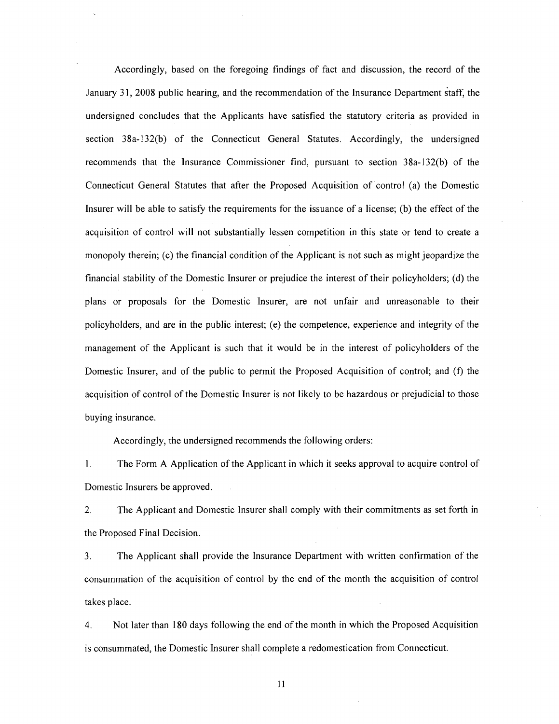Accordingly, based on the foregoing findings of fact and discussion, the record of the January 31, 2008 public hearing, and the recommendation of the Insurance Department staff, the undersigned concludes that the Applicants have satisfied the statutory criteria as provided in section 38a-132(b) of the Connecticut General Statutes. Accordingly, the undersigned recommends that the Insurance Commissioner find, pursuant to section 38a-132(b) of the Connecticut General Statutes that after the Proposed Acquisition of control (a) the Domestic Insurer will be able to satisfy the requirements for the issuance of a license; (b) the effect of the acquisition of control will not substantially lessen competition in this state or tend to create a monopoly therein; (c) the financial condition of the Applicant is not such as might jeopardize the financial stability of the Domestic Insurer or prejudice the interest of their policyholders; (d) the plans or proposals for the Domestic Insurer, are not unfair and unreasonable to their policyholders, and are in the public interest; (e) the competence, experience and integrity of the management of the Applicant is such that it would be in the interest of policyholders of the Domestic Insurer, and of the public to permit the Proposed Acquisition of control; and (f) the acquisition of control of the Domestic Insurer is not likely to be hazardous or prejudicial to those buying insurance.

Accordingly, the undersigned recommends the following orders:

1. The Form A Application of the Applicant in which it seeks approval to acquire control of Domestic Insurers be approved.

2. The Applicant and Domestic Insurer shall comply with their commitments as set forth in the Proposed Final Decision.

3. The Applicant shall provide the Insurance Department with written confirmation of the consummation of the acquisition of control by the end of the month the acquisition of control takes place.

4. Not later than 180 days following the end of the month in which the Proposed Acquisition is consummated, the Domestic Insurer shall complete a redomestication from Connecticut.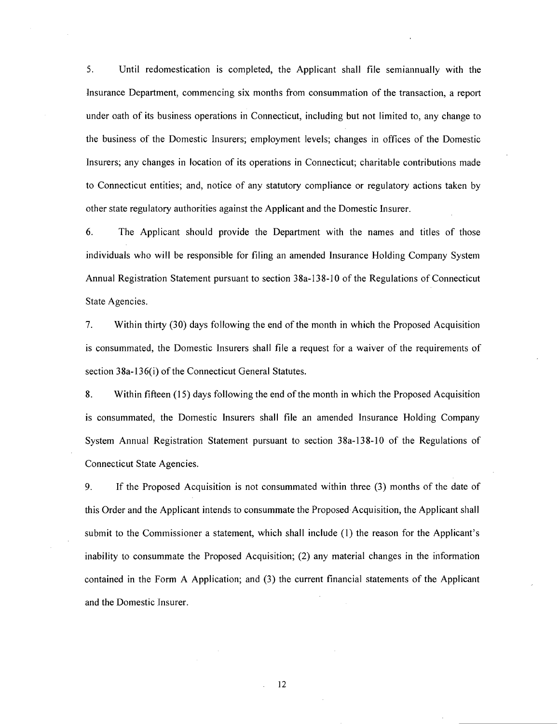5. Until redomestication is completed, the Applicant shall file semiannually with the lnsurance Department, commencing six months from consummation of the transaction, a report under oath of its business operations in Connecticut, including but not limited to, any change to the business of the Domestic Insurers; employment levels; changes in offices of the Domestic lnsurers; any changes in location of its operations in Connecticut; charitable contributions made to Connecticut entities; and, notice of any statutory compliance or regulatory actions taken by other state regulatory authorities against the Applicant and the Domestic Insurer.

6. The Applicant should provide the Department with the names and titles of those individuals who will be responsible for filing an amended Insurance Holding Company System Annual Registration Statement pursuant to section 38a-138-10 of the Regulations of Connecticut State Agencies.

7. Within thirty (30) days following the end of the month in which the Proposed Acquisition is consummated, the Domestic lnsurers shall file a request for a waiver of the requirements of section 38a-136(i) of the Connecticut General Statutes.

8. Within fifteen (15) days following the end of the month in which the Proposed Acquisition is consummated, the Domestic lnsurers shall file an amended lnsurance Holding Company System Annual Registration Statement pursuant to section 38a-138-10 of the Regulations of Connecticut State Agencies.

9. If the Proposed Acquisition is not consummated within three (3) months of the date of this Order and the Applicant intends to consummate the Proposed Acquisition, the Applicant shall submit to the Commissioner a statement, which shall include (1) the reason for the Applicant's inability to consummate the Proposed Acquisition; (2) any material changes in the information contained in the Form A Application; and (3) the current financial statements of the Applicant and the Domestic Insurer.